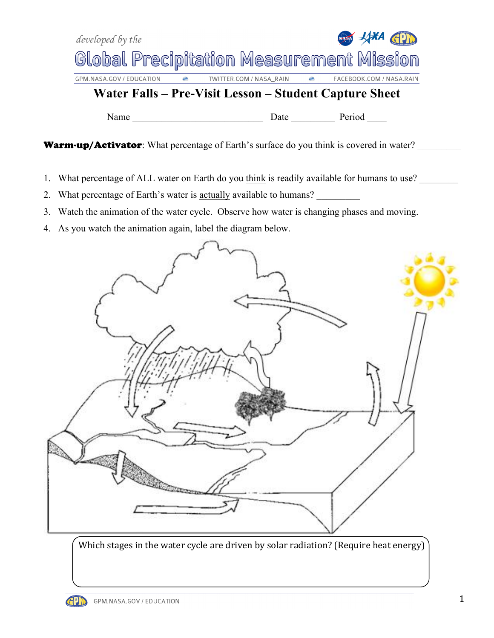



Which stages in the water cycle are driven by solar radiation? (Require heat energy)

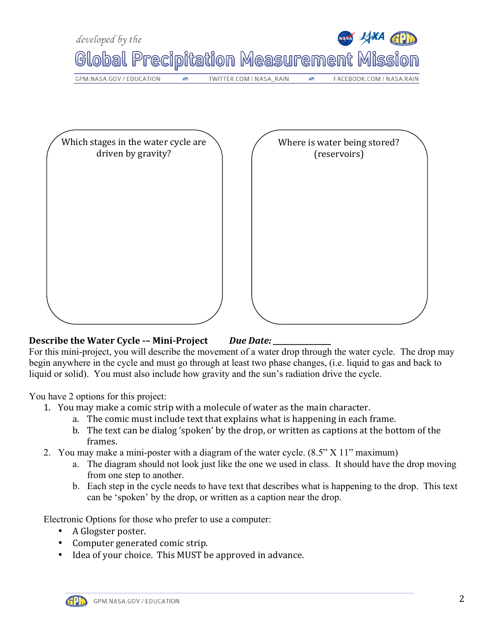

## **Describe the Water Cycle -- Mini-Project Due Date:**

For this mini-project, you will describe the movement of a water drop through the water cycle. The drop may begin anywhere in the cycle and must go through at least two phase changes, (i.e. liquid to gas and back to liquid or solid). You must also include how gravity and the sun's radiation drive the cycle.

You have 2 options for this project:

- 1. You may make a comic strip with a molecule of water as the main character.
	- a. The comic must include text that explains what is happening in each frame.
	- b. The text can be dialog 'spoken' by the drop, or written as captions at the bottom of the frames.
- 2. You may make a mini-poster with a diagram of the water cycle. (8.5" X 11" maximum)
	- a. The diagram should not look just like the one we used in class. It should have the drop moving from one step to another.
	- b. Each step in the cycle needs to have text that describes what is happening to the drop. This text can be 'spoken' by the drop, or written as a caption near the drop.

Electronic Options for those who prefer to use a computer:

- A Glogster poster.
- Computer generated comic strip.
- Idea of your choice. This MUST be approved in advance.